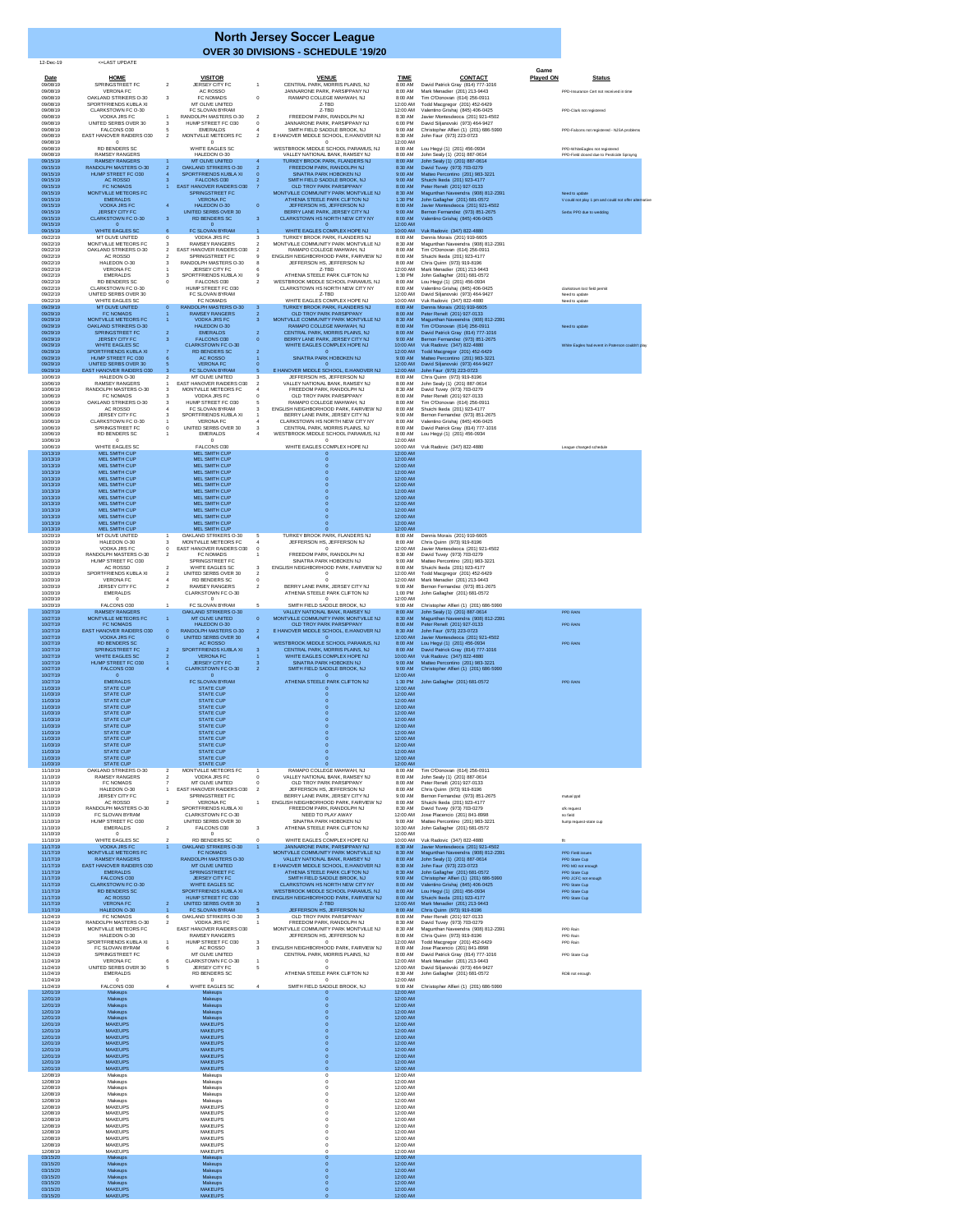12-Dec-19 <=LAST UPDATE

|                      |                                                         |                                                                                                                    |                                                                                 |                        |                                                                            | Game                                                  |
|----------------------|---------------------------------------------------------|--------------------------------------------------------------------------------------------------------------------|---------------------------------------------------------------------------------|------------------------|----------------------------------------------------------------------------|-------------------------------------------------------|
| Date<br>09/08/19     | <b>HOME</b><br>SPRINGSTREET FC                          | <b>VISITOR</b><br><b>JERSEY CITY FC</b><br>$\mathbf{2}$                                                            | <b>VENUE</b><br>CENTRAL PARK, MORRIS PLAINS, NJ                                 | <b>TIME</b><br>8:00 AM | <b>CONTACT</b><br>David Patrick Gray (814) 777-1016                        | <b>Played ON</b><br><b>Status</b>                     |
| 09/08/19<br>09/08/19 | <b>VERONA FC</b><br><b>OAKLAND STRIKERS O-30</b>        | AC ROSSO<br>3<br><b>FC NOMADS</b><br>$\overline{0}$                                                                | JANNARONE PARK, PARSIPPANY NJ<br>RAMAPO COLLEGE MAHWAH, NJ                      | 8:00 AM<br>8:00 AM     | Mark Menadier (201) 213-9443<br>Tim O'Donovan (614) 256-0911               | PPD-Insurance Cert not received in time               |
| 09/08/19<br>09/08/19 | SPORTFRIENDS KUBLA XI<br>CLARKSTOWN FC O-30             | <b>MT OLIVE UNITED</b><br>FC SLOVAN BYRAM                                                                          | Z-TBD<br>Z-TBD                                                                  | 12:00 AM<br>12:00 AM   | Todd Macgregor (201) 452-6429<br>Valentino Grishaj (845) 406-0425          | PPD-Clark not registered                              |
| 09/08/19<br>09/08/19 | <b>VODKA JRS FC</b><br>UNITED SERBS OVER 30             | RANDOLPH MASTERS O-30<br>2<br>HUMP STREET FC O30<br>3                                                              | FREEDOM PARK, RANDOLPH NJ<br>JANNARONE PARK, PARSIPPANY NJ                      | 8:30 AM<br>6:00 PM     | Javier Montesdeoca (201) 921-4502<br>David Siljanovski (973) 464-9427      |                                                       |
| 09/08/19<br>09/08/19 | FALCONS O30<br><b>EAST HANOVER RAIDERS 030</b>          | <b>EMERALDS</b><br>5<br>$\overline{2}$<br>MONTVILLE METEORS FC<br>2                                                | SMITH FIELD SADDLE BROOK, NJ<br>E HANOVER MIDDLE SCHOOL, E.HANOVER NJ           | 9:00 AM<br>8:30 AM     | Christopher Alfieri (1) (201) 686-5990<br>John Faur (973) 223-0723         | PPD-Falcons not registered - NJSA problems            |
| 09/08/19<br>09/08/19 | 0<br><b>RD BENDERS SC</b>                               | <b>WHITE EAGLES SC</b>                                                                                             | WESTBROOK MIDDLE SCHOOL PARAMUS, NJ                                             | 12:00 AM<br>8:00 AM    | Lou Hegyi (1) (201) 456-0934                                               | PPD-WhiteEagles not registered                        |
| 09/08/19<br>09/15/19 | <b>RAMSEY RANGERS</b><br><b>RAMSEY RANGERS</b>          | HALEDON O-30<br><b>MT OLIVE UNITED</b><br>$\overline{4}$<br>$\blacktriangleleft$                                   | VALLEY NATIONAL BANK, RAMSEY NJ<br><b>TURKEY BROOK PARK, FLANDERS NJ</b>        | 8:00 AM<br>8:00 AM     | John Sealy (1) (201) 887-0614<br>John Sealy (1) (201) 887-0614             | PPD-Field closed due to Pesticide Sprayng             |
| 09/15/19<br>09/15/19 | RANDOLPH MASTERS O-30<br>HUMP STREET FC O30             | $\overline{2}$<br><b>OAKLAND STRIKERS O-30</b><br>$\overline{2}$<br>$\overline{4}$<br><b>SPORTFRIENDS KUBLA XI</b> | <b>FREEDOM PARK, RANDOLPH NJ</b><br>SINATRA PARK HOBOKEN NJ                     | 8:30 AM<br>9:00 AM     | David Tuvey (973) 703-0279<br>Matteo Percontino (201) 983-3221             |                                                       |
| 09/15/19<br>09/15/19 | AC ROSSO<br><b>FC NOMADS</b>                            | <b>FALCONS O30</b><br>3<br><b>EAST HANOVER RAIDERS O30</b>                                                         | SMITH FIELD SADDLE BROOK, NJ<br>OLD TROY PARK PARSIPPANY                        | 9:00 AM<br>8:00 AM     | Shuichi Ikeda (201) 923-4177<br>Peter Renelt (201) 927-0133                |                                                       |
| 09/15/19             | MONTVILLE METEORS FC                                    | <b>SPRINGSTREET FC</b><br><b>VERONA FC</b>                                                                         | MONTVILLE COMMUNITY PARK MONTVILLE NJ<br>ATHENIA STEELE PARK CLIFTON NJ         | 8:30 AM                | Magunthan Naveendra (908) 812-2391                                         | Need to update                                        |
| 09/15/19<br>09/15/19 | <b>EMERALDS</b><br><b>VODKA JRS FC</b>                  | $\overline{0}$<br>$\overline{4}$<br>HALEDON O-30                                                                   | JEFFERSON HS, JEFFERSON NJ                                                      | 1:30 PM<br>8:00 AM     | John Gallagher (201) 681-0572<br>Javier Montesdeoca (201) 921-4502         | V could not play 1 pm and could not offer alternative |
| 09/15/19<br>09/15/19 | JERSEY CITY FC<br><b>CLARKSTOWN FC O-30</b>             | <b>UNITED SERBS OVER 30</b><br>3<br>3<br><b>RD BENDERS SC</b>                                                      | BERRY LANE PARK, JERSEY CITY NJ<br>CLARKSTOWN HS NORTH NEW CITY NY              | 9:00 AM<br>8:00 AM     | Bernon Fernandez (973) 851-2675<br>Valentino Grishaj (845) 406-0425        | Serbs PPD due to wedding                              |
| 09/15/19<br>09/15/19 | $\Omega$<br><b>WHITE EAGLES SC</b>                      | $6^{\circ}$<br>FC SLOVAN BYRAM                                                                                     | $\Omega$<br>WHITE EAGLES COMPLEX HOPE NJ                                        | 12:00 AM<br>10:00 AM   | Vuk Radovic (347) 822-4880                                                 |                                                       |
| 09/22/19<br>09/22/19 | MT OLIVE UNITED<br>MONTVILLE METEORS FC                 | $\overline{0}$<br><b>VODKA JRS FC</b><br>3<br>3<br><b>RAMSEY RANGERS</b><br>2                                      | TURKEY BROOK PARK, FLANDERS NJ<br>MONTVILLE COMMUNITY PARK MONTVILLE NJ         | 8:00 AM<br>8:30 AM     | Dennis Morais (201) 919-6605<br>Magunthan Naveendra (908) 812-2391         |                                                       |
| 09/22/19<br>09/22/19 | <b>OAKLAND STRIKERS O-30</b><br>AC ROSSO                | <b>EAST HANOVER RAIDERS O30</b><br>2<br>SPRINGSTREET FC<br>$\overline{2}$                                          | RAMAPO COLLEGE MAHWAH, NJ<br>ENGLISH NEIGHBORHOOD PARK, FAIRVIEW NJ             | 8:00 AM<br>8:00 AM     | Tim O'Donovan (614) 256-0911<br>Shuichi Ikeda (201) 923-4177               |                                                       |
| 09/22/19<br>09/22/19 | HALEDON O-30<br><b>VERONA FC</b>                        | 3<br>RANDOLPH MASTERS O-30<br><b>JERSEY CITY FC</b>                                                                | JEFFERSON HS, JEFFERSON NJ<br>Z-TBD                                             | 8:00 AM<br>12:00 AM    | Chris Quinn (973) 919-8196<br>Mark Menadier (201) 213-9443                 |                                                       |
| 09/22/19<br>09/22/19 | <b>EMERALDS</b><br>RD BENDERS SC                        | SPORTFRIENDS KUBLA XI<br>FALCONS O30                                                                               | ATHENIA STEELE PARK CLIFTON NJ<br>WESTBROOK MIDDLE SCHOOL PARAMUS, NJ           | 1:30 PM<br>8:00 AM     | John Gallagher (201) 681-0572<br>Lou Hegyi (1) (201) 456-0934              |                                                       |
| 09/22/19<br>09/22/19 | <b>CLARKSTOWN FC O-30</b><br>UNITED SERBS OVER 30       | HUMP STREET FC O30<br>FC SLOVAN BYRAM                                                                              | CLARKSTOWN HS NORTH NEW CITY NY<br>Z-TBD                                        | 8:00 AM<br>12:00 AM    | Valentino Grishaj (845) 406-0425<br>David Siljanovski (973) 464-9427       | clarkstown lost field permit<br>Need to update        |
| 09/22/19<br>09/29/19 | <b>WHITE EAGLES SC</b><br><b>MT OLIVE UNITED</b>        | <b>FC NOMADS</b><br>RANDOLPH MASTERS O-30<br>$\Omega$<br>3                                                         | WHITE EAGLES COMPLEX HOPE NJ<br>TURKEY BROOK PARK, FLANDERS NJ                  | 10:00 AM<br>8:00 AM    | Vuk Radovic (347) 822-4880<br>Dennis Morais (201) 919-6605                 | Need to update                                        |
| 09/29/19<br>09/29/19 | <b>FC NOMADS</b><br>MONTVILLE METEORS FC                | <b>RAMSEY RANGERS</b><br><b>VODKA JRS FC</b>                                                                       | <b>OLD TROY PARK PARSIPPANY</b><br>MONTVILLE COMMUNITY PARK MONTVILLE NJ        | 8:00 AM<br>8:30 AM     | Peter Renelt (201) 927-0133<br>Magunthan Naveendra (908) 812-2391          |                                                       |
| 09/29/19<br>09/29/19 | <b>OAKLAND STRIKERS O-30</b><br><b>SPRINGSTREET FC</b>  | HALEDON O-30<br><b>EMERALDS</b><br>$\overline{2}$<br>$\mathbf{2}$                                                  | RAMAPO COLLEGE MAHWAH, NJ<br>CENTRAL PARK, MORRIS PLAINS, NJ                    | 8:00 AM<br>8:00 AM     | Tim O'Donovan (614) 256-0911<br>David Patrick Gray (814) 777-1016          | Need to update                                        |
| 09/29/19<br>09/29/19 | <b>JERSEY CITY FC</b><br><b>WHITE EAGLES SC</b>         | 3<br><b>FALCONS O30</b><br>$\overline{0}$<br><b>CLARKSTOWN FC O-30</b>                                             | BERRY LANE PARK, JERSEY CITY NJ<br>WHITE EAGLES COMPLEX HOPE NJ                 | 9:00 AM<br>10:00 AM    | Bernon Fernandez (973) 851-2675<br>Vuk Radovic (347) 822-4880              | White Eagles had event in Paterson couldn't play      |
| 09/29/19<br>09/29/19 | SPORTFRIENDS KUBLA XI<br>HUMP STREET FC O30             | <b>RD BENDERS SC</b><br>AC ROSSO                                                                                   | SINATRA PARK HOBOKEN NJ                                                         | 12:00 AM<br>9:00 AM    | Todd Macgregor (201) 452-6429<br>Matteo Percontino (201) 983-3221          |                                                       |
| 09/29/19<br>09/29/19 | UNITED SERBS OVER 30<br><b>EAST HANOVER RAIDERS 030</b> | <b>VERONA FC</b><br>5<br>FC SLOVAN BYRAM<br>3                                                                      | $\Omega$<br>E HANOVER MIDDLE SCHOOL, E.HANOVER NJ                               | 12:00 AM<br>12:00 AM   | David Siljanovski (973) 464-9427<br>John Faur (973) 223-0723               |                                                       |
| 10/06/19<br>10/06/19 | HALEDON O-30<br><b>RAMSEY RANGERS</b>                   | <b>MT OLIVE UNITED</b><br>3<br>EAST HANOVER RAIDERS O30                                                            | JEFFERSON HS, JEFFERSON NJ<br>VALLEY NATIONAL BANK, RAMSEY NJ                   | 8:00 AM<br>8:00 AM     | Chris Quinn (973) 919-8196<br>John Sealy (1) (201) 887-0614                |                                                       |
| 10/06/19<br>10/06/19 | RANDOLPH MASTERS O-30<br><b>FC NOMADS</b>               | 3<br>MONTVILLE METEORS FC<br><b>VODKA JRS FC</b>                                                                   | FREEDOM PARK, RANDOLPH NJ<br>OLD TROY PARK PARSIPPANY                           | 8:30 AM<br>8:00 AM     | David Tuvey (973) 703-0279<br>Peter Renelt (201) 927-0133                  |                                                       |
| 10/06/19<br>10/06/19 | <b>OAKLAND STRIKERS O-30</b><br>AC ROSSO                | HUMP STREET FC O30<br>3<br>FC SLOVAN BYRAM                                                                         | RAMAPO COLLEGE MAHWAH, NJ<br>ENGLISH NEIGHBORHOOD PARK, FAIRVIEW NJ             | 8:00 AM<br>8:00 AM     | Tim O'Donovan (614) 256-0911<br>Shuichi Ikeda (201) 923-4177               |                                                       |
| 10/06/19<br>10/06/19 | <b>JERSEY CITY FC</b><br>CLARKSTOWN FC O-30             | SPORTFRIENDS KUBLA XI<br><b>VERONA FC</b>                                                                          | BERRY LANE PARK, JERSEY CITY NJ<br>CLARKSTOWN HS NORTH NEW CITY NY              | 9:00 AM<br>8:00 AM     | Bernon Fernandez (973) 851-2675<br>Valentino Grishaj (845) 406-0425        |                                                       |
| 10/06/19<br>10/06/19 | SPRINGSTREET FC<br><b>RD BENDERS SC</b>                 | UNITED SERBS OVER 30<br>3<br><b>EMERALDS</b>                                                                       | CENTRAL PARK, MORRIS PLAINS, NJ<br>WESTBROOK MIDDLE SCHOOL PARAMUS, NJ          | 8:00 AM<br>8:00 AM     | David Patrick Gray (814) 777-1016                                          |                                                       |
| 10/06/19             |                                                         |                                                                                                                    |                                                                                 | 12:00 AM               | Lou Hegyi (1) (201) 456-0934                                               |                                                       |
| 10/06/19<br>10/13/19 | <b>WHITE EAGLES SC</b><br><b>MEL SMITH CUP</b>          | FALCONS O30<br><b>MEL SMITH CUP</b>                                                                                | WHITE EAGLES COMPLEX HOPE NJ                                                    | 10:00 AM<br>12:00 AM   | Vuk Radovic (347) 822-4880                                                 | League changed schedule                               |
| 10/13/19<br>10/13/19 | <b>MEL SMITH CUP</b><br><b>MEL SMITH CUP</b>            | <b>MEL SMITH CUP</b><br><b>MEL SMITH CUP</b>                                                                       |                                                                                 | 12:00 AM<br>12:00 AM   |                                                                            |                                                       |
| 10/13/19<br>10/13/19 | <b>MEL SMITH CUP</b><br><b>MEL SMITH CUP</b>            | <b>MEL SMITH CUP</b><br><b>MEL SMITH CUP</b>                                                                       |                                                                                 | 12:00 AM<br>12:00 AM   |                                                                            |                                                       |
| 10/13/19<br>10/13/19 | <b>MEL SMITH CUP</b><br><b>MEL SMITH CUP</b>            | <b>MEL SMITH CUP</b><br><b>MEL SMITH CUP</b>                                                                       |                                                                                 | 12:00 AM<br>12:00 AM   |                                                                            |                                                       |
| 10/13/19<br>10/13/19 | <b>MEL SMITH CUP</b><br><b>MEL SMITH CUP</b>            | <b>MEL SMITH CUP</b><br><b>MEL SMITH CUP</b>                                                                       |                                                                                 | 12:00 AM<br>12:00 AM   |                                                                            |                                                       |
| 10/13/19<br>10/13/19 | <b>MEL SMITH CUP</b><br><b>MEL SMITH CUP</b>            | <b>MEL SMITH CUP</b><br><b>MEL SMITH CUP</b>                                                                       |                                                                                 | 12:00 AM<br>12:00 AM   |                                                                            |                                                       |
| 10/13/19<br>10/13/19 | <b>MEL SMITH CUP</b><br><b>MEL SMITH CUP</b>            | <b>MEL SMITH CUP</b><br><b>MEL SMITH CUP</b>                                                                       |                                                                                 | 12:00 AM<br>12:00 AM   |                                                                            |                                                       |
| 10/20/19<br>10/20/19 | MT OLIVE UNITED<br>HALEDON O-30                         | <b>OAKLAND STRIKERS O-30</b><br>5<br>MONTVILLE METEORS FC<br>3                                                     | TURKEY BROOK PARK, FLANDERS NJ<br>JEFFERSON HS, JEFFERSON NJ                    | 8:00 AM<br>8:00 AM     | Dennis Morais (201) 919-6605<br>Chris Quinn (973) 919-8196                 |                                                       |
| 10/20/19<br>10/20/19 | <b>VODKA JRS FC</b><br>RANDOLPH MASTERS O-30            | EAST HANOVER RAIDERS O30<br>FC NOMADS<br>$\mathbf{2}$                                                              | FREEDOM PARK, RANDOLPH NJ                                                       | 12:00 AM<br>8:30 AM    | Javier Montesdeoca (201) 921-4502<br>David Tuvey (973) 703-0279            |                                                       |
| 10/20/19<br>10/20/19 | HUMP STREET FC O30<br>AC ROSSO                          | SPRINGSTREET FC<br><b>WHITE EAGLES SC</b><br>2<br>3                                                                | SINATRA PARK HOBOKEN NJ<br>ENGLISH NEIGHBORHOOD PARK, FAIRVIEW NJ               | 9:00 AM<br>8:00 AM     | Matteo Percontino (201) 983-3221<br>Shuichi Ikeda (201) 923-4177           |                                                       |
| 10/20/19<br>10/20/19 | SPORTFRIENDS KUBLA XI<br><b>VERONA FC</b>               | UNITED SERBS OVER 30<br>4<br><b>RD BENDERS SC</b>                                                                  |                                                                                 | 12:00 AM<br>12:00 AM   | Todd Macgregor (201) 452-6429<br>Mark Menadier (201) 213-9443              |                                                       |
| 10/20/19<br>10/20/19 | <b>JERSEY CITY FC</b><br><b>EMERALDS</b>                | <b>RAMSEY RANGERS</b><br>$\overline{2}$<br>2<br><b>CLARKSTOWN FC O-30</b>                                          | BERRY LANE PARK, JERSEY CITY NJ<br>ATHENIA STEELE PARK CLIFTON NJ               | 9:00 AM<br>1:00 PM     | Bernon Fernandez (973) 851-2675<br>John Gallagher (201) 681-0572           |                                                       |
| 10/20/19<br>10/20/19 | FALCONS O30                                             | FC SLOVAN BYRAM<br>$5^{\circ}$                                                                                     | SMITH FIELD SADDLE BROOK, NJ                                                    | 12:00 AM<br>9:00 AM    | Christopher Alfieri (1) (201) 686-5990                                     |                                                       |
| 10/27/19<br>10/27/19 | <b>RAMSEY RANGERS</b><br>MONTVILLE METEORS FC           | <b>OAKLAND STRIKERS O-30</b><br><b>MT OLIVE UNITED</b><br>$\overline{0}$<br>-1.                                    | VALLEY NATIONAL BANK, RAMSEY NJ<br>MONTVILLE COMMUNITY PARK MONTVILLE NJ        | 8:00 AM<br>8:30 AM     | John Sealy (1) (201) 887-0614<br>Magunthan Naveendra (908) 812-2391        | PPD RAIN                                              |
| 10/27/19             | <b>FC NOMADS</b><br><b>EAST HANOVER RAIDERS O30</b>     | <b>HALEDON O-30</b><br>RANDOLPH MASTERS O-30                                                                       | <b>OLD TROY PARK PARSIPPANY</b>                                                 | 8:00 AM<br>8:30 AM     | Peter Renelt (201) 927-0133                                                | PPD RAIN                                              |
| 10/27/19<br>10/27/19 | <b>VODKA JRS FC</b>                                     | $\mathbf{0}$<br>-2<br><b>UNITED SERBS OVER 30</b><br>$\overline{4}$<br>$\overline{0}$                              | E HANOVER MIDDLE SCHOOL, E.HANOVER NJ                                           | 12:00 AM               | John Faur (973) 223-0723<br>Javier Montesdeoca (201) 921-4502              |                                                       |
| 10/27/19<br>10/27/19 | <b>RD BENDERS SC</b><br><b>SPRINGSTREET FC</b>          | AC ROSSO<br>SPORTFRIENDS KUBLA XI<br>$\overline{2}$<br>3                                                           | WESTBROOK MIDDLE SCHOOL PARAMUS, NJ<br>CENTRAL PARK, MORRIS PLAINS, NJ          | 8:00 AM<br>8:00 AM     | Lou Hegyi (1) (201) 456-0934<br>David Patrick Gray (814) 777-1016          | PPD RAIN                                              |
| 10/27/19<br>10/27/19 | <b>WHITE EAGLES SC</b><br>HUMP STREET FC O30            | <b>VERONA FC</b><br><b>JERSEY CITY FC</b><br>З                                                                     | WHITE EAGLES COMPLEX HOPE NJ<br>SINATRA PARK HOBOKEN NJ                         | 10:00 AM<br>9:00 AM    | Vuk Radovic (347) 822-4880<br>Matteo Percontino (201) 983-3221             |                                                       |
| 10/27/19<br>10/27/19 | <b>FALCONS O30</b>                                      | <b>CLARKSTOWN FC O-30</b><br>$\mathbf{2}$<br>4                                                                     | SMITH FIELD SADDLE BROOK, NJ                                                    | 9:00 AM<br>12:00 AM    | Christopher Alfieri (1) (201) 686-5990                                     |                                                       |
| 10/27/19<br>11/03/19 | <b>EMERALDS</b><br><b>STATE CUP</b>                     | FC SLOVAN BYRAM<br><b>STATE CUP</b>                                                                                | ATHENIA STEELE PARK CLIFTON NJ                                                  | 1:30 PM<br>12:00 AM    | John Gallagher (201) 681-0572                                              | PPD RAIN                                              |
| 11/03/19<br>11/03/19 | <b>STATE CUP</b><br><b>STATE CUP</b>                    | <b>STATE CUP</b><br><b>STATE CUP</b>                                                                               |                                                                                 | 12:00 AM<br>12:00 AM   |                                                                            |                                                       |
| 11/03/19<br>11/03/19 | <b>STATE CUP</b><br><b>STATE CUP</b>                    | <b>STATE CUP</b><br><b>STATE CUP</b>                                                                               |                                                                                 | 12:00 AM<br>12:00 AM   |                                                                            |                                                       |
| 11/03/19<br>11/03/19 | <b>STATE CUP</b><br><b>STATE CUP</b>                    | <b>STATE CUP</b><br><b>STATE CUP</b>                                                                               |                                                                                 | 12:00 AM<br>12:00 AM   |                                                                            |                                                       |
| 11/03/19<br>11/03/19 | <b>STATE CUP</b><br><b>STATE CUP</b>                    | <b>STATE CUP</b><br><b>STATE CUP</b>                                                                               |                                                                                 | 12:00 AM<br>12:00 AM   |                                                                            |                                                       |
| 11/03/19<br>11/03/19 | <b>STATE CUP</b><br><b>STATE CUP</b>                    | <b>STATE CUP</b><br><b>STATE CUP</b>                                                                               |                                                                                 | 12:00 AM<br>12:00 AM   |                                                                            |                                                       |
| 11/03/19<br>11/03/19 | <b>STATE CUP</b><br><b>STATE CUP</b>                    | <b>STATE CUP</b><br><b>STATE CUP</b>                                                                               |                                                                                 | 12:00 AM<br>12:00 AM   |                                                                            |                                                       |
| 11/10/19<br>11/10/19 | <b>OAKLAND STRIKERS O-30</b><br><b>RAMSEY RANGERS</b>   | MONTVILLE METEORS FC<br>2<br>2<br><b>VODKA JRS FC</b>                                                              | RAMAPO COLLEGE MAHWAH, NJ<br>VALLEY NATIONAL BANK, RAMSEY NJ                    | 8:00 AM<br>8:00 AM     | Tim O'Donovan (614) 256-0911<br>John Sealy (1) (201) 887-0614              |                                                       |
| 11/10/19<br>11/10/19 | <b>FC NOMADS</b><br>HALEDON O-30                        | MT OLIVE UNITED<br>$\Omega$<br><b>EAST HANOVER RAIDERS O30</b><br>2                                                | OLD TROY PARK PARSIPPANY<br>JEFFERSON HS, JEFFERSON NJ                          | 8:00 AM<br>8:00 AM     | Peter Renelt (201) 927-0133<br>Chris Quinn (973) 919-8196                  |                                                       |
| 11/10/19<br>11/10/19 | JERSEY CITY FC<br>AC ROSSO                              | SPRINGSTREET FC<br><b>VERONA FC</b><br>$2^{\circ}$                                                                 | BERRY LANE PARK, JERSEY CITY NJ<br>ENGLISH NEIGHBORHOOD PARK, FAIRVIEW NJ       | 9:00 AM<br>8:00 AM     | Bernon Fernandez (973) 851-2675<br>Shuichi Ikeda (201) 923-4177            | mutual ppd                                            |
| 11/10/19<br>11/10/19 | <b>RANDOLPH MASTERS O-30</b><br>FC SLOVAN BYRAM         | SPORTFRIENDS KUBLA XI<br><b>CLARKSTOWN FC O-30</b>                                                                 | FREEDOM PARK, RANDOLPH NJ<br>NEED TO PLAY AWAY                                  | 8:30 AM<br>12:00 AM    | David Tuvey (973) 703-0279<br>Jose Placencio (201) 841-8998                | sfk request<br>no field                               |
| 11/10/19             | HUMP STREET FC O30                                      | UNITED SERBS OVER 30                                                                                               | SINATRA PARK HOBOKEN NJ                                                         | 9:00 AM                | Matteo Percontino (201) 983-3221                                           | hump request-state cup                                |
| 11/10/19<br>11/10/19 | <b>EMERALDS</b>                                         | FALCONS O30<br>$\mathbf{2}$<br>$\mathbf{3}$                                                                        | ATHENIA STEELE PARK CLIFTON NJ                                                  | 10:30 AM<br>12:00 AM   | John Gallagher (201) 681-0572                                              |                                                       |
| 11/10/19<br>11/17/19 | <b>WHITE EAGLES SC</b><br><b>VODKA JRS FC</b>           | <b>RD BENDERS SC</b><br>$\mathbf{2}$<br>$\mathbf{0}$<br><b>OAKLAND STRIKERS O-30</b><br>$\mathbf{1}$               | WHITE EAGLES COMPLEX HOPE NJ<br>JANNARONE PARK, PARSIPPANY NJ                   | 10:00 AM<br>8:30 AM    | Vuk Radovic (347) 822-4880<br>Javier Montesdeoca (201) 921-4502            | fft                                                   |
| 11/17/19<br>11/17/19 | MONTVILLE METEORS FC<br><b>RAMSEY RANGERS</b>           | <b>FC NOMADS</b><br>RANDOLPH MASTERS O-30                                                                          | MONTVILLE COMMUNITY PARK MONTVILLE NJ<br><b>VALLEY NATIONAL BANK, RAMSEY NJ</b> | 8:30 AM<br>8:00 AM     | Magunthan Naveendra (908) 812-2391<br>John Sealy (1) (201) 887-0614        | <b>PPD Field issues</b><br>PPD State Cup              |
| 11/17/19<br>11/17/19 | <b>EAST HANOVER RAIDERS 030</b><br><b>EMERALDS</b>      | <b>MT OLIVE UNITED</b><br><b>SPRINGSTREET FC</b>                                                                   | E HANOVER MIDDLE SCHOOL, E.HANOVER NJ<br>ATHENIA STEELE PARK CLIFTON NJ         | 8:30 AM<br>8:30 AM     | John Faur (973) 223-0723<br>John Gallagher (201) 681-0572                  | PPD MO not enough<br>PPD State Cup                    |
| 11/17/19<br>11/17/19 | <b>FALCONS O30</b><br><b>CLARKSTOWN FC O-30</b>         | <b>JERSEY CITY FC</b><br><b>WHITE EAGLES SC</b>                                                                    | SMITH FIELD SADDLE BROOK, NJ<br>CLARKSTOWN HS NORTH NEW CITY NY                 | 9:00 AM<br>8:00 AM     | Christopher Alfieri (1) (201) 686-5990<br>Valentino Grishaj (845) 406-0425 | PPD JCFC not enough<br>PPD State Cup                  |
| 11/17/19<br>11/17/19 | <b>RD BENDERS SC</b><br><b>AC ROSSO</b>                 | SPORTFRIENDS KUBLA XI<br>HUMP STREET FC O30                                                                        | WESTBROOK MIDDLE SCHOOL PARAMUS, NJ<br>ENGLISH NEIGHBORHOOD PARK, FAIRVIEW NJ   | 8:00 AM<br>8:00 AM     | Lou Hegyi (1) (201) 456-0934<br>Shuichi Ikeda (201) 923-4177               | PPD State Cup<br>PPD State Cup                        |
| 11/17/19<br>11/17/19 | <b>VERONA FC</b><br>HALEDON O-30                        | <b>UNITED SERBS OVER 30</b><br>2<br>3<br>FC SLOVAN BYRAM<br>-5                                                     | Z-TBD<br>JEFFERSON HS, JEFFERSON NJ                                             | 12:00 AM<br>8:00 AM    | Mark Menadier (201) 213-9443<br>Chris Quinn (973) 919-8196                 |                                                       |
| 11/24/19<br>11/24/19 | <b>FC NOMADS</b><br>RANDOLPH MASTERS O-30               | 6<br>3<br><b>OAKLAND STRIKERS O-30</b><br>$\overline{2}$<br><b>VODKA JRS FC</b>                                    | OLD TROY PARK PARSIPPANY<br>FREEDOM PARK, RANDOLPH NJ                           | 8:00 AM<br>8:30 AM     | Peter Renelt (201) 927-0133<br>David Tuvey (973) 703-0279                  |                                                       |
| 11/24/19<br>11/24/19 | MONTVILLE METEORS FC<br>HALEDON O-30                    | <b>EAST HANOVER RAIDERS O30</b><br><b>RAMSEY RANGERS</b>                                                           | MONTVILLE COMMUNITY PARK MONTVILLE NJ<br>JEFFERSON HS, JEFFERSON NJ             | 8:30 AM<br>8:00 AM     | Magunthan Naveendra (908) 812-2391<br>Chris Quinn (973) 919-8196           | PPD Rain<br>PPD Rain                                  |
| 11/24/19<br>11/24/19 | SPORTFRIENDS KUBLA XI<br>FC SLOVAN BYRAM                | HUMP STREET FC O30<br>-3<br>AC ROSSO<br>3<br>6                                                                     | ENGLISH NEIGHBORHOOD PARK, FAIRVIEW NJ                                          | 12:00 AM<br>8:00 AM    | Todd Macgregor (201) 452-6429<br>Jose Placencio (201) 841-8998             | PPD Rain                                              |
| 11/24/19<br>11/24/19 | SPRINGSTREET FC<br><b>VERONA FC</b>                     | MT OLIVE UNITED<br><b>CLARKSTOWN FC O-30</b><br>6                                                                  | CENTRAL PARK, MORRIS PLAINS, NJ                                                 | 8:00 AM<br>12:00 AM    | David Patrick Gray (814) 777-1016<br>Mark Menadier (201) 213-9443          | PPD State Cup                                         |
| 11/24/19<br>11/24/19 | UNITED SERBS OVER 30<br><b>EMERALDS</b>                 | JERSEY CITY FC<br>5<br>5<br>RD BENDERS SC                                                                          | ATHENIA STEELE PARK CLIFTON NJ                                                  | 12:00 AM<br>8:30 AM    | David Siljanovski (973) 464-9427<br>John Gallagher (201) 681-0572          | RDB not enough                                        |
| 11/24/19<br>11/24/19 | $\mathbf{0}$<br>FALCONS O30                             | <b>WHITE EAGLES SC</b><br>4<br>4                                                                                   | $\Omega$<br>SMITH FIELD SADDLE BROOK, NJ                                        | 12:00 AM<br>9:00 AM    | Christopher Alfieri (1) (201) 686-5990                                     |                                                       |
| 12/01/19<br>12/01/19 | <b>Makeups</b><br><b>Makeups</b>                        | <b>Makeups</b><br><b>Makeups</b>                                                                                   | $\Omega$                                                                        | 12:00 AM<br>12:00 AM   |                                                                            |                                                       |
| 12/01/19<br>12/01/19 | <b>Makeups</b><br><b>Makeups</b>                        | <b>Makeups</b><br><b>Makeups</b>                                                                                   |                                                                                 | 12:00 AM<br>12:00 AM   |                                                                            |                                                       |
| 12/01/19<br>12/01/19 | <b>Makeups</b><br><b>MAKEUPS</b>                        | <b>Makeups</b><br><b>MAKEUPS</b>                                                                                   |                                                                                 | 12:00 AM<br>12:00 AM   |                                                                            |                                                       |
| 12/01/19<br>12/01/19 | <b>MAKEUPS</b><br><b>MAKEUPS</b>                        | <b>MAKEUPS</b><br><b>MAKEUPS</b>                                                                                   |                                                                                 | 12:00 AM<br>12:00 AM   |                                                                            |                                                       |
| 12/01/19             | <b>MAKEUPS</b>                                          | <b>MAKEUPS</b>                                                                                                     |                                                                                 | 12:00 AM               |                                                                            |                                                       |
| 12/01/19<br>12/01/19 | <b>MAKEUPS</b><br><b>MAKEUPS</b>                        | <b>MAKEUPS</b><br><b>MAKEUPS</b>                                                                                   |                                                                                 | 12:00 AM<br>12:00 AM   |                                                                            |                                                       |
| 12/01/19<br>12/01/19 | <b>MAKEUPS</b><br><b>MAKEUPS</b>                        | <b>MAKEUPS</b><br><b>MAKEUPS</b>                                                                                   | $\Omega$                                                                        | 12:00 AM<br>12:00 AM   |                                                                            |                                                       |
| 12/08/19<br>12/08/19 | Makeups<br>Makeups                                      | Makeups<br>Makeups                                                                                                 | $\Omega$                                                                        | 12:00 AM<br>12:00 AM   |                                                                            |                                                       |
| 12/08/19<br>12/08/19 | Makeups<br>Makeups                                      | Makeups<br>Makeups                                                                                                 |                                                                                 | 12:00 AM<br>12:00 AM   |                                                                            |                                                       |
| 12/08/19<br>12/08/19 | Makeups<br><b>MAKEUPS</b>                               | Makeups<br><b>MAKEUPS</b>                                                                                          |                                                                                 | 12:00 AM<br>12:00 AM   |                                                                            |                                                       |
| 12/08/19<br>12/08/19 | <b>MAKEUPS</b><br><b>MAKEUPS</b>                        | <b>MAKEUPS</b><br><b>MAKEUPS</b>                                                                                   |                                                                                 | 12:00 AM<br>12:00 AM   |                                                                            |                                                       |
| 12/08/19<br>12/08/19 | <b>MAKEUPS</b><br><b>MAKEUPS</b>                        | <b>MAKEUPS</b><br><b>MAKEUPS</b>                                                                                   |                                                                                 | 12:00 AM<br>12:00 AM   |                                                                            |                                                       |
| 12/08/19<br>12/08/19 | <b>MAKEUPS</b><br><b>MAKEUPS</b>                        | <b>MAKEUPS</b><br><b>MAKEUPS</b>                                                                                   |                                                                                 | 12:00 AM<br>12:00 AM   |                                                                            |                                                       |
| 12/08/19<br>03/15/20 | <b>MAKEUPS</b><br><b>Makeups</b>                        | <b>MAKEUPS</b><br><b>Makeups</b>                                                                                   | U.<br>$\theta$                                                                  | 12:00 AM<br>12:00 AM   |                                                                            |                                                       |
| 03/15/20<br>03/15/20 | <b>Makeups</b><br><b>Makeups</b>                        | <b>Makeups</b><br><b>Makeups</b>                                                                                   |                                                                                 | 12:00 AM<br>12:00 AM   |                                                                            |                                                       |
| 03/15/20<br>03/15/20 | <b>Makeups</b><br><b>Makeups</b>                        | <b>Makeups</b><br><b>Makeups</b>                                                                                   |                                                                                 | 12:00 AM<br>12:00 AM   |                                                                            |                                                       |
| 03/15/20<br>03/15/20 | <b>MAKEUPS</b><br><b>MAKEUPS</b>                        | <b>MAKEUPS</b><br><b>MAKEUPS</b>                                                                                   |                                                                                 | 12:00 AM<br>12:00 AM   |                                                                            |                                                       |

## **North Jersey Soccer League OVER 30 DIVISIONS - SCHEDULE '19/20**